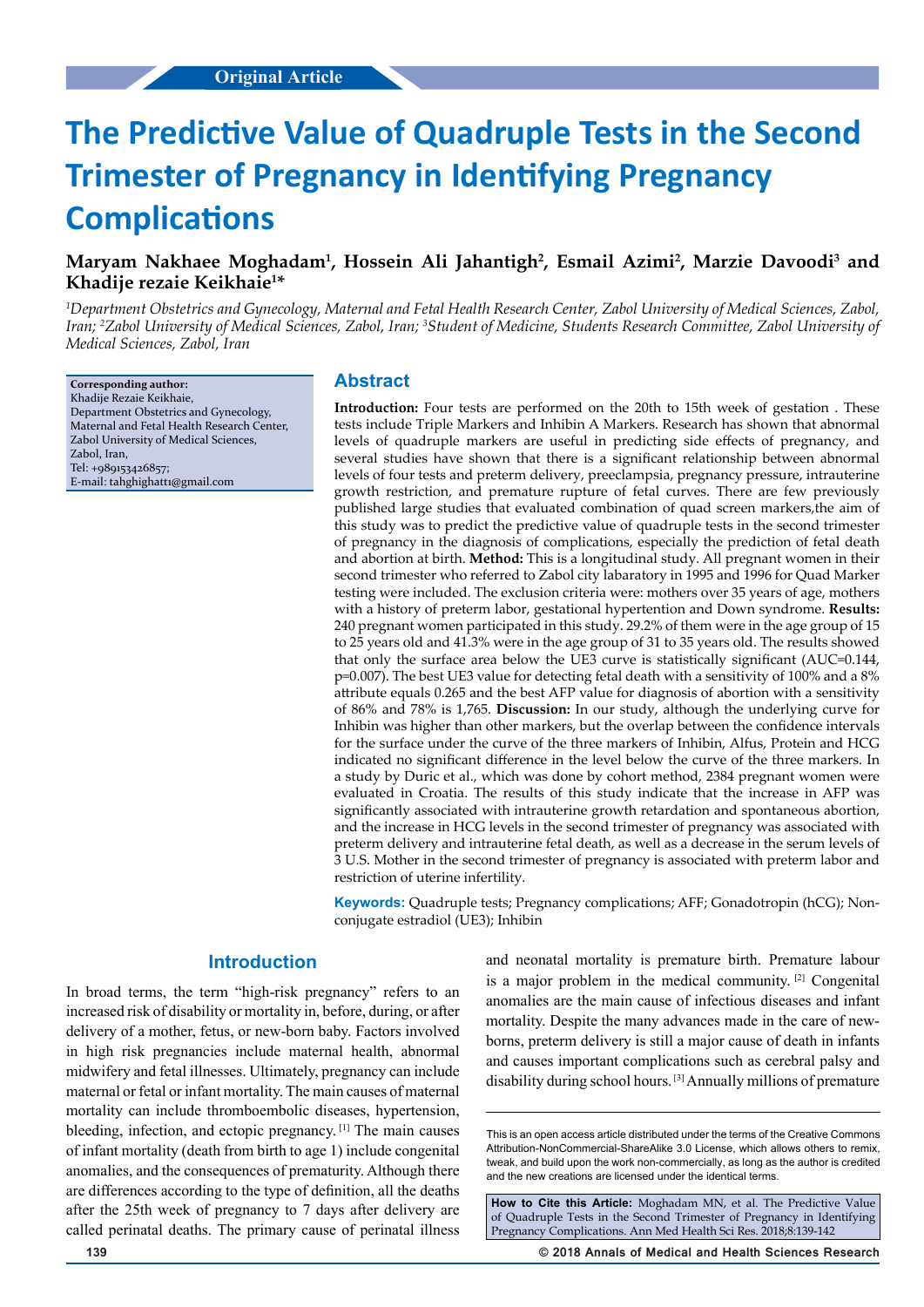# **The Predictive Value of Quadruple Tests in the Second Trimester of Pregnancy in Identifying Pregnancy Complications**

# Maryam Nakhaee Moghadam<sup>1</sup>, Hossein Ali Jahantigh<sup>2</sup>, Esmail Azimi<sup>2</sup>, Marzie Davoodi<sup>3</sup> and **Khadije rezaie Keikhaie1 \***

*1 Department Obstetrics and Gynecology, Maternal and Fetal Health Research Center, Zabol University of Medical Sciences, Zabol, Iran; 2 Zabol University of Medical Sciences, Zabol, Iran; 3 Student of Medicine, Students Research Committee, Zabol University of Medical Sciences, Zabol, Iran*

**Corresponding author:** Khadije Rezaie Keikhaie, Department Obstetrics and Gynecology, Maternal and Fetal Health Research Center, Zabol University of Medical Sciences, Zabol, Iran, Tel: +989153426857; E-mail: tahghighatt1@gmail.com

## **Abstract**

**Introduction:** Four tests are performed on the 20th to 15th week of gestation . These tests include Triple Markers and Inhibin A Markers. Research has shown that abnormal levels of quadruple markers are useful in predicting side effects of pregnancy, and several studies have shown that there is a significant relationship between abnormal levels of four tests and preterm delivery, preeclampsia, pregnancy pressure, intrauterine growth restriction, and premature rupture of fetal curves. There are few previously published large studies that evaluated combination of quad screen markers,the aim of this study was to predict the predictive value of quadruple tests in the second trimester of pregnancy in the diagnosis of complications, especially the prediction of fetal death and abortion at birth. **Method:** This is a longitudinal study. All pregnant women in their second trimester who referred to Zabol city labaratory in 1995 and 1996 for Quad Marker testing were included. The exclusion criteria were: mothers over 35 years of age, mothers with a history of preterm labor, gestational hypertention and Down syndrome. **Results:** 240 pregnant women participated in this study. 29.2% of them were in the age group of 15 to 25 years old and 41.3% were in the age group of 31 to 35 years old. The results showed that only the surface area below the UE3 curve is statistically significant (AUC=0.144, p=0.007). The best UE3 value for detecting fetal death with a sensitivity of 100% and a 8% attribute equals 0.265 and the best AFP value for diagnosis of abortion with a sensitivity of 86% and 78% is 1,765. **Discussion:** In our study, although the underlying curve for Inhibin was higher than other markers, but the overlap between the confidence intervals for the surface under the curve of the three markers of Inhibin, Alfus, Protein and HCG indicated no significant difference in the level below the curve of the three markers. In a study by Duric et al., which was done by cohort method, 2384 pregnant women were evaluated in Croatia. The results of this study indicate that the increase in AFP was significantly associated with intrauterine growth retardation and spontaneous abortion, and the increase in HCG levels in the second trimester of pregnancy was associated with preterm delivery and intrauterine fetal death, as well as a decrease in the serum levels of 3 U.S. Mother in the second trimester of pregnancy is associated with preterm labor and restriction of uterine infertility.

**Keywords:** Quadruple tests; Pregnancy complications; AFF; Gonadotropin (hCG); Nonconjugate estradiol (UE3); Inhibin

## **Introduction**

In broad terms, the term "high-risk pregnancy" refers to an increased risk of disability or mortality in, before, during, or after delivery of a mother, fetus, or new-born baby. Factors involved in high risk pregnancies include maternal health, abnormal midwifery and fetal illnesses. Ultimately, pregnancy can include maternal or fetal or infant mortality. The main causes of maternal mortality can include thromboembolic diseases, hypertension, bleeding, infection, and ectopic pregnancy. [1] The main causes of infant mortality (death from birth to age 1) include congenital anomalies, and the consequences of prematurity. Although there are differences according to the type of definition, all the deaths after the 25th week of pregnancy to 7 days after delivery are called perinatal deaths. The primary cause of perinatal illness and neonatal mortality is premature birth. Premature labour is a major problem in the medical community. [2] Congenital anomalies are the main cause of infectious diseases and infant mortality. Despite the many advances made in the care of newborns, preterm delivery is still a major cause of death in infants and causes important complications such as cerebral palsy and disability during school hours. [3] Annually millions of premature

This is an open access article distributed under the terms of the Creative Commons Attribution-NonCommercial-ShareAlike 3.0 License, which allows others to remix, tweak, and build upon the work non‑commercially, as long as the author is credited and the new creations are licensed under the identical terms.

**How to Cite this Article:** Moghadam MN, et al. The Predictive Value of Quadruple Tests in the Second Trimester of Pregnancy in Identifying Pregnancy Complications. Ann Med Health Sci Res. 2018;8:139-142

**139 © 2018 Annals of Medical and Health Sciences Research**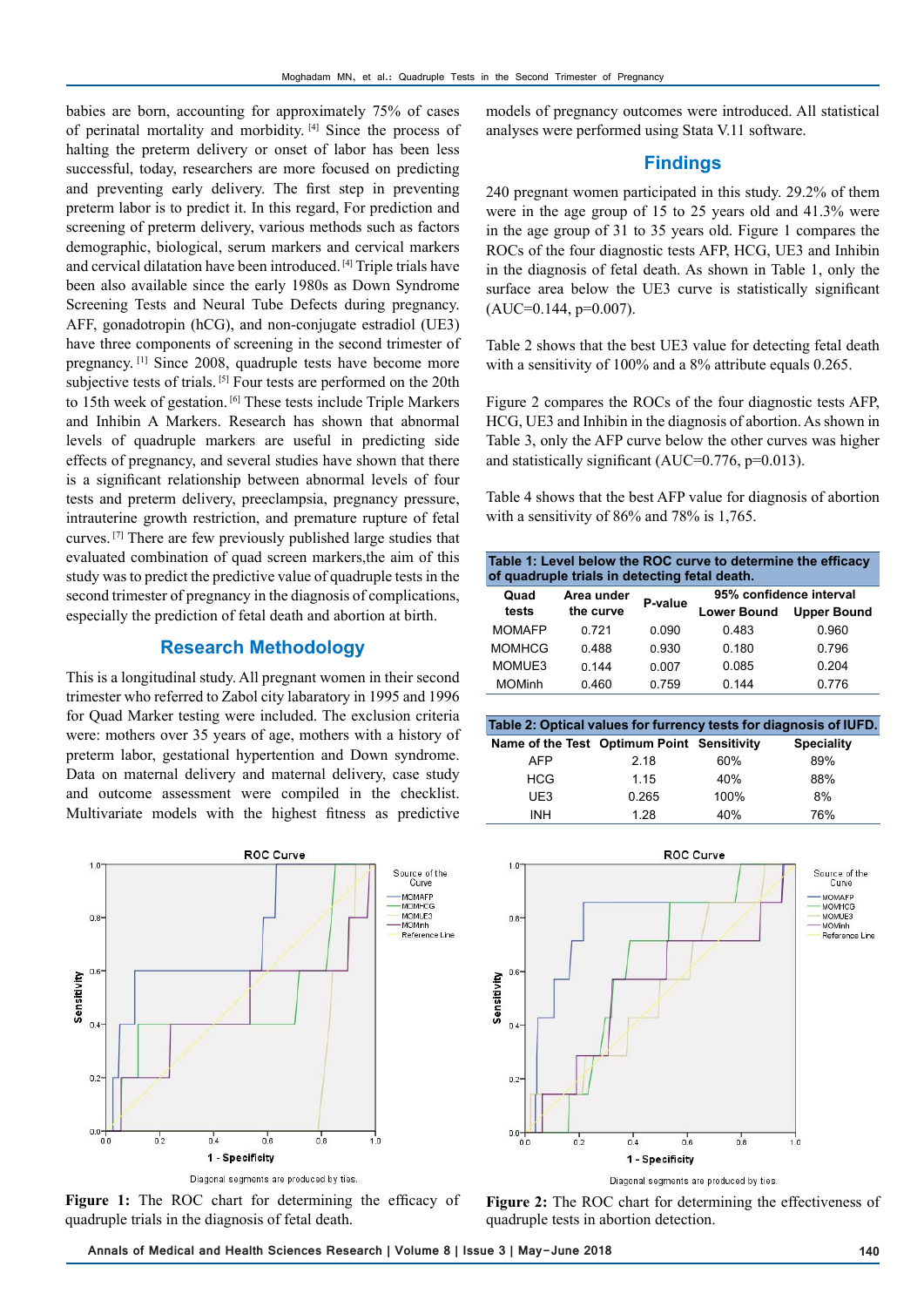babies are born, accounting for approximately 75% of cases of perinatal mortality and morbidity. [4] Since the process of halting the preterm delivery or onset of labor has been less successful, today, researchers are more focused on predicting and preventing early delivery. The first step in preventing preterm labor is to predict it. In this regard, For prediction and screening of preterm delivery, various methods such as factors demographic, biological, serum markers and cervical markers and cervical dilatation have been introduced. [4] Triple trials have been also available since the early 1980s as Down Syndrome Screening Tests and Neural Tube Defects during pregnancy. AFF, gonadotropin (hCG), and non-conjugate estradiol (UE3) have three components of screening in the second trimester of pregnancy. [1] Since 2008, quadruple tests have become more subjective tests of trials. [5] Four tests are performed on the 20th to 15th week of gestation. [6] These tests include Triple Markers and Inhibin A Markers. Research has shown that abnormal levels of quadruple markers are useful in predicting side effects of pregnancy, and several studies have shown that there is a significant relationship between abnormal levels of four tests and preterm delivery, preeclampsia, pregnancy pressure, intrauterine growth restriction, and premature rupture of fetal curves. [7] There are few previously published large studies that evaluated combination of quad screen markers,the aim of this study was to predict the predictive value of quadruple tests in the second trimester of pregnancy in the diagnosis of complications, especially the prediction of fetal death and abortion at birth.

### **Research Methodology**

This is a longitudinal study. All pregnant women in their second trimester who referred to Zabol city labaratory in 1995 and 1996 for Quad Marker testing were included. The exclusion criteria were: mothers over 35 years of age, mothers with a history of preterm labor, gestational hypertention and Down syndrome. Data on maternal delivery and maternal delivery, case study and outcome assessment were compiled in the checklist. Multivariate models with the highest fitness as predictive



Diagonal segments are produced by ties.

Figure 1: The ROC chart for determining the efficacy of quadruple trials in the diagnosis of fetal death.

models of pregnancy outcomes were introduced. All statistical analyses were performed using Stata V.11 software.

## **Findings**

240 pregnant women participated in this study. 29.2% of them were in the age group of 15 to 25 years old and 41.3% were in the age group of 31 to 35 years old. Figure 1 compares the ROCs of the four diagnostic tests AFP, HCG, UE3 and Inhibin in the diagnosis of fetal death. As shown in Table 1, only the surface area below the UE3 curve is statistically significant  $(AUC=0.144, p=0.007)$ .

Table 2 shows that the best UE3 value for detecting fetal death with a sensitivity of 100% and a 8% attribute equals 0.265.

Figure 2 compares the ROCs of the four diagnostic tests AFP, HCG, UE3 and Inhibin in the diagnosis of abortion. As shown in Table 3, only the AFP curve below the other curves was higher and statistically significant (AUC=0.776, p=0.013).

Table 4 shows that the best AFP value for diagnosis of abortion with a sensitivity of 86% and 78% is 1,765.

| Table 1: Level below the ROC curve to determine the efficacy |  |  |  |  |
|--------------------------------------------------------------|--|--|--|--|
| of quadruple trials in detecting fetal death.                |  |  |  |  |

| Quad          | Area under | P-value | 95% confidence interval |                    |
|---------------|------------|---------|-------------------------|--------------------|
| tests         | the curve  |         | <b>Lower Bound</b>      | <b>Upper Bound</b> |
| <b>MOMAFP</b> | 0.721      | 0.090   | 0.483                   | 0.960              |
| <b>MOMHCG</b> | 0.488      | 0.930   | 0.180                   | 0.796              |
| MOMUE3        | 0.144      | 0.007   | 0.085                   | 0.204              |
| <b>MOMinh</b> | 0.460      | 0.759   | 0.144                   | 0.776              |

| Table 2: Optical values for furrency tests for diagnosis of IUFD. |       |      |                   |
|-------------------------------------------------------------------|-------|------|-------------------|
| Name of the Test Optimum Point Sensitivity                        |       |      | <b>Speciality</b> |
| AFP                                                               | 2.18  | 60%  | 89%               |
| <b>HCG</b>                                                        | 1.15  | 40%  | 88%               |
| UE3                                                               | 0.265 | 100% | 8%                |
| <b>INH</b>                                                        | 1.28  | 40%  | 76%               |



**Figure 2:** The ROC chart for determining the effectiveness of quadruple tests in abortion detection.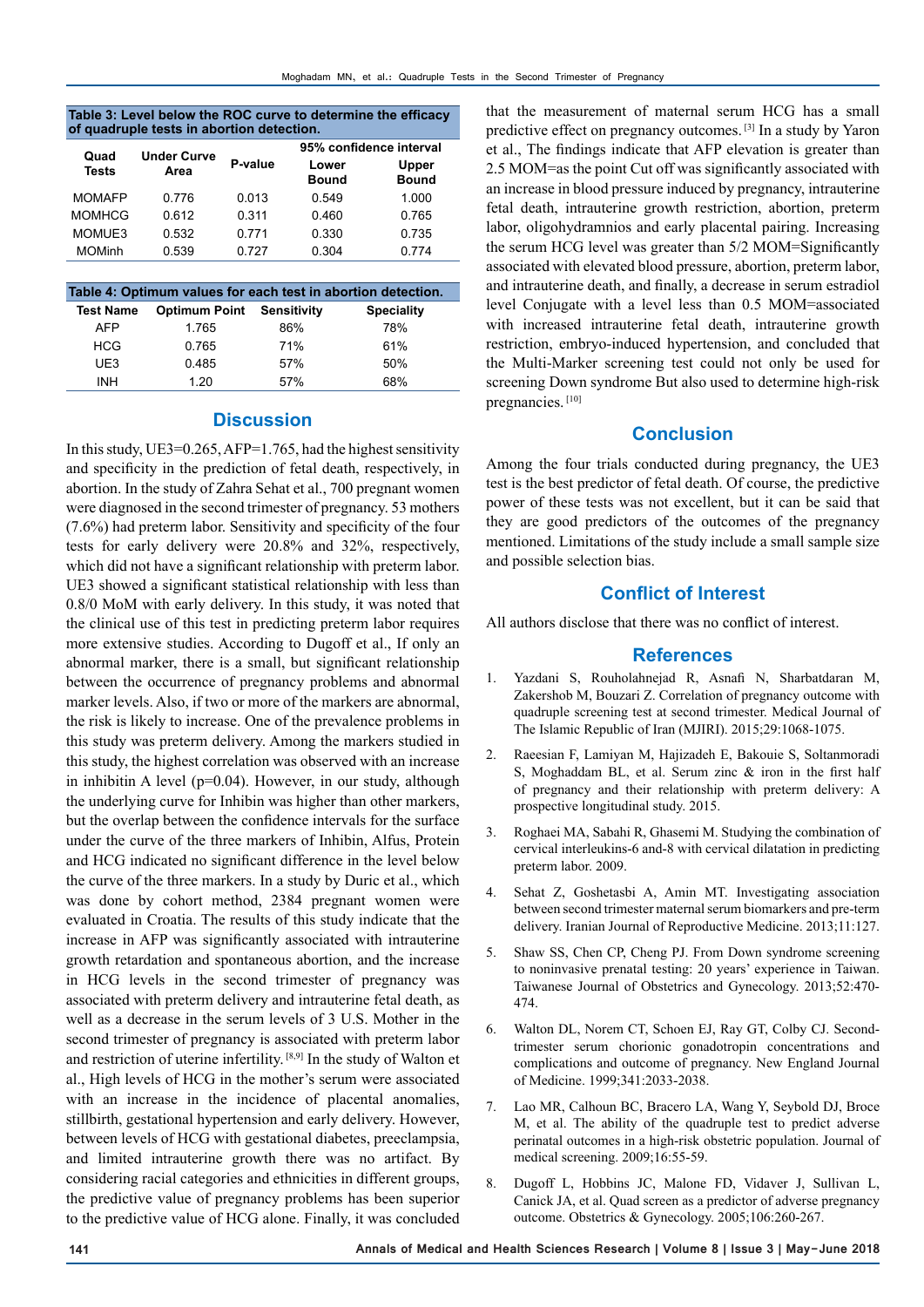#### **Table 3: Level below the ROC curve to determine the efficacy of quadruple tests in abortion detection.**

| Quad          | <b>Under Curve</b> |         | 95% confidence interval |                       |
|---------------|--------------------|---------|-------------------------|-----------------------|
| <b>Tests</b>  | Area               | P-value | Lower<br><b>Bound</b>   | Upper<br><b>Bound</b> |
| <b>MOMAFP</b> | 0.776              | 0.013   | 0.549                   | 1.000                 |
| <b>MOMHCG</b> | 0.612              | 0.311   | 0.460                   | 0.765                 |
| MOMUE3        | 0.532              | 0 7 7 1 | 0.330                   | 0.735                 |
| <b>MOMinh</b> | 0.539              | 0.727   | 0.304                   | 0.774                 |

| Table 4: Optimum values for each test in abortion detection. |                      |             |                   |
|--------------------------------------------------------------|----------------------|-------------|-------------------|
| <b>Test Name</b>                                             | <b>Optimum Point</b> | Sensitivity | <b>Speciality</b> |
| <b>AFP</b>                                                   | 1.765                | 86%         | 78%               |
| <b>HCG</b>                                                   | 0.765                | 71%         | 61%               |
| UE3                                                          | 0.485                | 57%         | 50%               |
| <b>INH</b>                                                   | 1 20                 | 57%         | 68%               |

# **Discussion**

In this study, UE3=0.265, AFP=1.765, had the highest sensitivity and specificity in the prediction of fetal death, respectively, in abortion. In the study of Zahra Sehat et al., 700 pregnant women were diagnosed in the second trimester of pregnancy. 53 mothers (7.6%) had preterm labor. Sensitivity and specificity of the four tests for early delivery were 20.8% and 32%, respectively, which did not have a significant relationship with preterm labor. UE3 showed a significant statistical relationship with less than 0.8/0 MoM with early delivery. In this study, it was noted that the clinical use of this test in predicting preterm labor requires more extensive studies. According to Dugoff et al., If only an abnormal marker, there is a small, but significant relationship between the occurrence of pregnancy problems and abnormal marker levels. Also, if two or more of the markers are abnormal, the risk is likely to increase. One of the prevalence problems in this study was preterm delivery. Among the markers studied in this study, the highest correlation was observed with an increase in inhibitin A level ( $p=0.04$ ). However, in our study, although the underlying curve for Inhibin was higher than other markers, but the overlap between the confidence intervals for the surface under the curve of the three markers of Inhibin, Alfus, Protein and HCG indicated no significant difference in the level below the curve of the three markers. In a study by Duric et al., which was done by cohort method, 2384 pregnant women were evaluated in Croatia. The results of this study indicate that the increase in AFP was significantly associated with intrauterine growth retardation and spontaneous abortion, and the increase in HCG levels in the second trimester of pregnancy was associated with preterm delivery and intrauterine fetal death, as well as a decrease in the serum levels of 3 U.S. Mother in the second trimester of pregnancy is associated with preterm labor and restriction of uterine infertility. [8,9] In the study of Walton et al., High levels of HCG in the mother's serum were associated with an increase in the incidence of placental anomalies, stillbirth, gestational hypertension and early delivery. However, between levels of HCG with gestational diabetes, preeclampsia, and limited intrauterine growth there was no artifact. By considering racial categories and ethnicities in different groups, the predictive value of pregnancy problems has been superior to the predictive value of HCG alone. Finally, it was concluded

that the measurement of maternal serum HCG has a small predictive effect on pregnancy outcomes. [3] In a study by Yaron et al., The findings indicate that AFP elevation is greater than 2.5 MOM=as the point Cut off was significantly associated with an increase in blood pressure induced by pregnancy, intrauterine fetal death, intrauterine growth restriction, abortion, preterm labor, oligohydramnios and early placental pairing. Increasing the serum HCG level was greater than 5/2 MOM=Significantly associated with elevated blood pressure, abortion, preterm labor, and intrauterine death, and finally, a decrease in serum estradiol level Conjugate with a level less than 0.5 MOM=associated with increased intrauterine fetal death, intrauterine growth restriction, embryo-induced hypertension, and concluded that the Multi-Marker screening test could not only be used for screening Down syndrome But also used to determine high-risk pregnancies. [10]

# **Conclusion**

Among the four trials conducted during pregnancy, the UE3 test is the best predictor of fetal death. Of course, the predictive power of these tests was not excellent, but it can be said that they are good predictors of the outcomes of the pregnancy mentioned. Limitations of the study include a small sample size and possible selection bias.

## **Conflict of Interest**

All authors disclose that there was no conflict of interest.

## **References**

- 1. Yazdani S, Rouholahnejad R, Asnafi N, Sharbatdaran M, Zakershob M, Bouzari Z. Correlation of pregnancy outcome with quadruple screening test at second trimester. Medical Journal of The Islamic Republic of Iran (MJIRI). 2015;29:1068-1075.
- 2. Raeesian F, Lamiyan M, Hajizadeh E, Bakouie S, Soltanmoradi S, Moghaddam BL, et al. Serum zinc & iron in the first half of pregnancy and their relationship with preterm delivery: A prospective longitudinal study. 2015.
- 3. Roghaei MA, Sabahi R, Ghasemi M. Studying the combination of cervical interleukins-6 and-8 with cervical dilatation in predicting preterm labor. 2009.
- 4. Sehat Z, Goshetasbi A, Amin MT. Investigating association between second trimester maternal serum biomarkers and pre-term delivery. Iranian Journal of Reproductive Medicine. 2013;11:127.
- 5. Shaw SS, Chen CP, Cheng PJ. From Down syndrome screening to noninvasive prenatal testing: 20 years' experience in Taiwan. Taiwanese Journal of Obstetrics and Gynecology. 2013;52:470- 474.
- 6. Walton DL, Norem CT, Schoen EJ, Ray GT, Colby CJ. Secondtrimester serum chorionic gonadotropin concentrations and complications and outcome of pregnancy. New England Journal of Medicine. 1999;341:2033-2038.
- 7. Lao MR, Calhoun BC, Bracero LA, Wang Y, Seybold DJ, Broce M, et al. The ability of the quadruple test to predict adverse perinatal outcomes in a high-risk obstetric population. Journal of medical screening. 2009;16:55-59.
- 8. Dugoff L, Hobbins JC, Malone FD, Vidaver J, Sullivan L, Canick JA, et al. Quad screen as a predictor of adverse pregnancy outcome. Obstetrics & Gynecology. 2005;106:260-267.